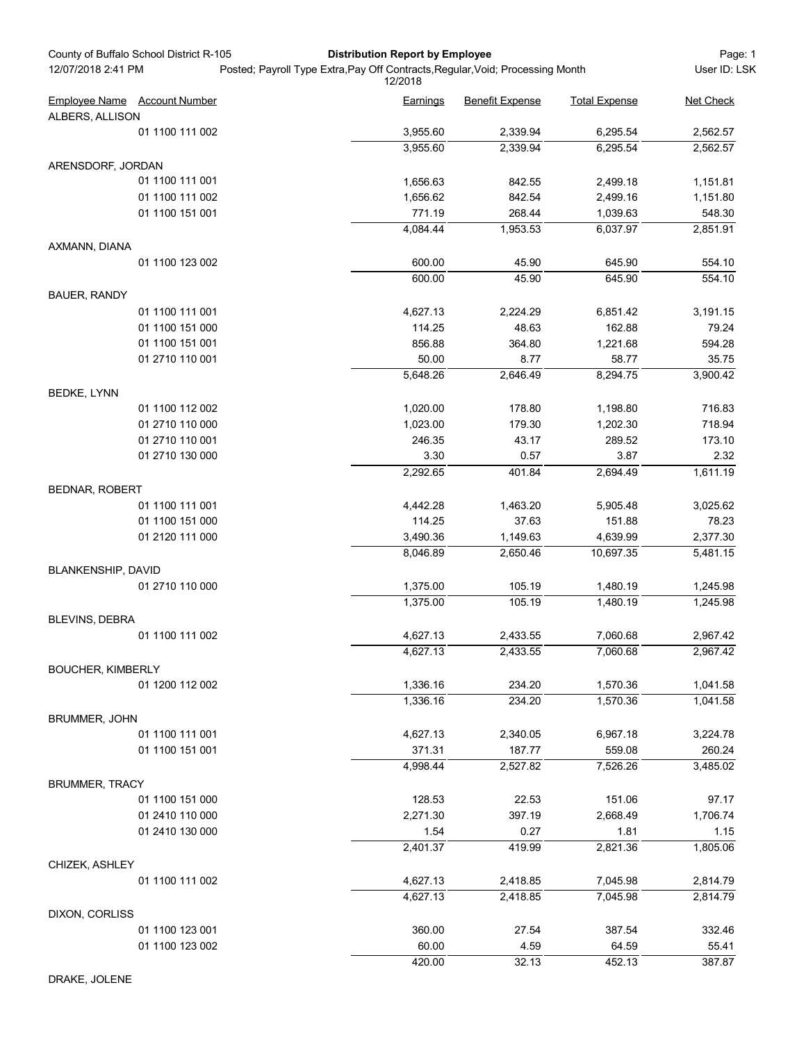| County of Buffalo School District R-105<br>12/07/2018 2:41 PM | <b>Distribution Report by Employee</b><br>Posted; Payroll Type Extra, Pay Off Contracts, Regular, Void; Processing Month |                        |                      |                      |
|---------------------------------------------------------------|--------------------------------------------------------------------------------------------------------------------------|------------------------|----------------------|----------------------|
|                                                               | 12/2018                                                                                                                  |                        |                      | User ID: LSK         |
| <b>Employee Name</b> Account Number                           | Earnings                                                                                                                 | <b>Benefit Expense</b> | <b>Total Expense</b> | Net Check            |
| ALBERS, ALLISON                                               |                                                                                                                          |                        |                      |                      |
| 01 1100 111 002                                               | 3,955.60<br>3,955.60                                                                                                     | 2,339.94<br>2,339.94   | 6,295.54<br>6,295.54 | 2,562.57<br>2,562.57 |
|                                                               |                                                                                                                          |                        |                      |                      |
| ARENSDORF, JORDAN<br>01 1100 111 001                          |                                                                                                                          |                        |                      |                      |
| 01 1100 111 002                                               | 1,656.63<br>1,656.62                                                                                                     | 842.55<br>842.54       | 2,499.18<br>2,499.16 | 1,151.81<br>1,151.80 |
| 01 1100 151 001                                               | 771.19                                                                                                                   | 268.44                 | 1,039.63             | 548.30               |
|                                                               | 4,084.44                                                                                                                 | 1,953.53               | 6,037.97             | 2,851.91             |
| AXMANN, DIANA                                                 |                                                                                                                          |                        |                      |                      |
| 01 1100 123 002                                               | 600.00                                                                                                                   | 45.90                  | 645.90               | 554.10               |
|                                                               | 600.00                                                                                                                   | 45.90                  | 645.90               | 554.10               |
| <b>BAUER, RANDY</b>                                           |                                                                                                                          |                        |                      |                      |
| 01 1100 111 001                                               | 4,627.13                                                                                                                 | 2,224.29               | 6,851.42             | 3,191.15             |
| 01 1100 151 000                                               | 114.25                                                                                                                   | 48.63                  | 162.88               | 79.24                |
| 01 1100 151 001                                               | 856.88                                                                                                                   | 364.80                 | 1,221.68             | 594.28               |
| 01 2710 110 001                                               | 50.00                                                                                                                    | 8.77                   | 58.77                | 35.75                |
|                                                               | 5,648.26                                                                                                                 | 2,646.49               | 8,294.75             | 3,900.42             |
| <b>BEDKE, LYNN</b>                                            |                                                                                                                          |                        |                      |                      |
| 01 1100 112 002                                               | 1,020.00                                                                                                                 | 178.80                 | 1,198.80             | 716.83               |
| 01 2710 110 000                                               | 1,023.00                                                                                                                 | 179.30                 | 1,202.30             | 718.94               |
| 01 2710 110 001                                               | 246.35                                                                                                                   | 43.17                  | 289.52               | 173.10               |
| 01 2710 130 000                                               | 3.30                                                                                                                     | 0.57                   | 3.87                 | 2.32                 |
|                                                               | 2,292.65                                                                                                                 | 401.84                 | 2,694.49             | 1,611.19             |
| <b>BEDNAR, ROBERT</b>                                         |                                                                                                                          |                        |                      |                      |
| 01 1100 111 001                                               | 4,442.28                                                                                                                 | 1,463.20               | 5,905.48             | 3,025.62             |
| 01 1100 151 000                                               | 114.25                                                                                                                   | 37.63                  | 151.88               | 78.23                |
| 01 2120 111 000                                               | 3,490.36                                                                                                                 | 1,149.63               | 4,639.99             | 2,377.30             |
|                                                               | 8,046.89                                                                                                                 | 2,650.46               | 10,697.35            | 5,481.15             |
| BLANKENSHIP, DAVID                                            |                                                                                                                          |                        |                      |                      |
| 01 2710 110 000                                               | 1,375.00                                                                                                                 | 105.19                 | 1,480.19             | 1,245.98             |
|                                                               | 1,375.00                                                                                                                 | 105.19                 | 1,480.19             | 1,245.98             |
| BLEVINS, DEBRA                                                |                                                                                                                          |                        |                      |                      |
| 01 1100 111 002                                               | 4,627.13                                                                                                                 | 2,433.55               | 7,060.68             | 2,967.42             |
|                                                               | 4,627.13                                                                                                                 | 2,433.55               | 7,060.68             | 2,967.42             |
| <b>BOUCHER, KIMBERLY</b>                                      |                                                                                                                          |                        |                      |                      |
| 01 1200 112 002                                               | 1,336.16<br>1,336.16                                                                                                     | 234.20<br>234.20       | 1,570.36<br>1,570.36 | 1,041.58<br>1,041.58 |
| <b>BRUMMER, JOHN</b>                                          |                                                                                                                          |                        |                      |                      |
| 01 1100 111 001                                               | 4,627.13                                                                                                                 | 2,340.05               | 6,967.18             | 3,224.78             |
| 01 1100 151 001                                               | 371.31                                                                                                                   | 187.77                 | 559.08               | 260.24               |
|                                                               | 4,998.44                                                                                                                 | 2,527.82               | 7,526.26             | 3,485.02             |
| <b>BRUMMER, TRACY</b>                                         |                                                                                                                          |                        |                      |                      |
| 01 1100 151 000                                               | 128.53                                                                                                                   | 22.53                  | 151.06               | 97.17                |
| 01 2410 110 000                                               | 2,271.30                                                                                                                 | 397.19                 | 2,668.49             | 1,706.74             |
| 01 2410 130 000                                               | 1.54                                                                                                                     | 0.27                   | 1.81                 | 1.15                 |
|                                                               | 2,401.37                                                                                                                 | 419.99                 | 2,821.36             | 1,805.06             |
| CHIZEK, ASHLEY                                                |                                                                                                                          |                        |                      |                      |
| 01 1100 111 002                                               | 4,627.13                                                                                                                 | 2,418.85               | 7,045.98             | 2,814.79             |
|                                                               | 4,627.13                                                                                                                 | 2,418.85               | 7,045.98             | 2,814.79             |
| DIXON, CORLISS                                                |                                                                                                                          |                        |                      |                      |
| 01 1100 123 001                                               | 360.00                                                                                                                   | 27.54                  | 387.54               | 332.46               |
| 01 1100 123 002                                               | 60.00                                                                                                                    | 4.59                   | 64.59                | 55.41                |
|                                                               | 420.00                                                                                                                   | 32.13                  | 452.13               | 387.87               |

DRAKE, JOLENE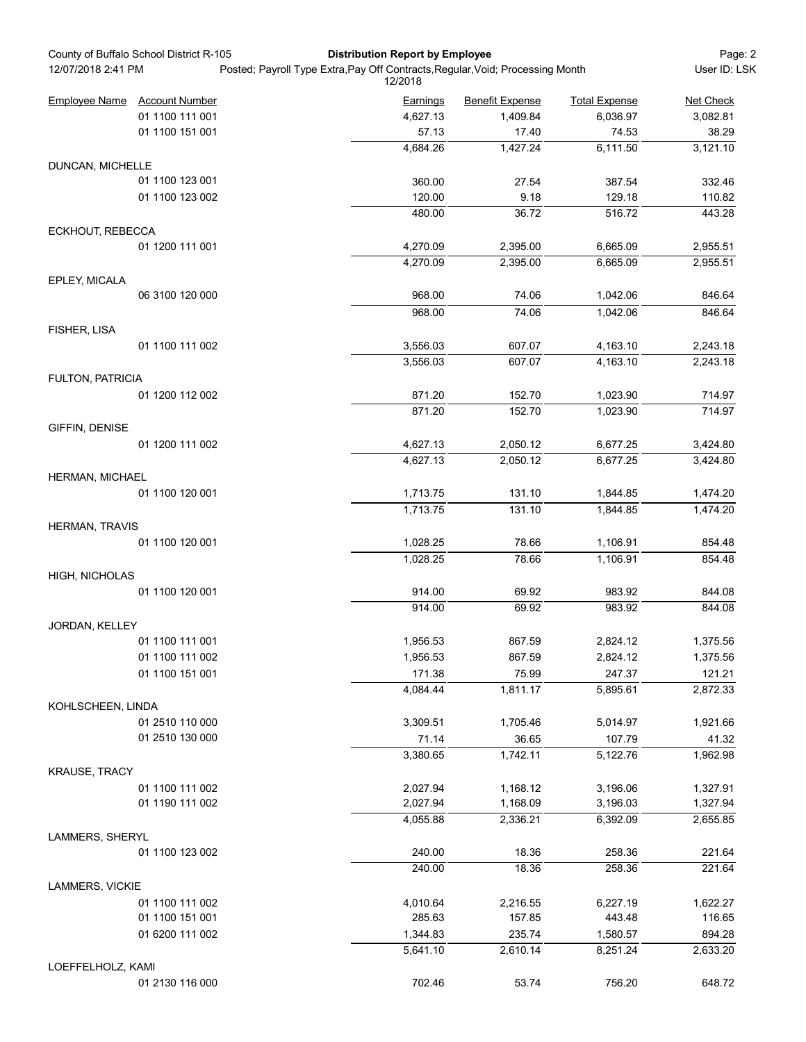| 12/07/2018 2:41 PM    | County of Buffalo School District R-105<br><b>Distribution Report by Employee</b><br>Posted; Payroll Type Extra, Pay Off Contracts, Regular, Void; Processing Month<br>12/2018 |  |                      | Page: 2<br>User ID: LSK |                      |                      |
|-----------------------|--------------------------------------------------------------------------------------------------------------------------------------------------------------------------------|--|----------------------|-------------------------|----------------------|----------------------|
| <b>Employee Name</b>  | <b>Account Number</b>                                                                                                                                                          |  | <b>Earnings</b>      | <b>Benefit Expense</b>  | <b>Total Expense</b> | Net Check            |
|                       | 01 1100 111 001                                                                                                                                                                |  | 4,627.13             | 1,409.84                | 6,036.97             | 3,082.81             |
|                       | 01 1100 151 001                                                                                                                                                                |  | 57.13                | 17.40                   | 74.53                | 38.29                |
|                       |                                                                                                                                                                                |  | 4,684.26             | 1,427.24                | 6,111.50             | 3,121.10             |
| DUNCAN, MICHELLE      |                                                                                                                                                                                |  |                      |                         |                      |                      |
|                       | 01 1100 123 001                                                                                                                                                                |  | 360.00               | 27.54                   | 387.54               | 332.46               |
|                       | 01 1100 123 002                                                                                                                                                                |  | 120.00               | 9.18                    | 129.18               | 110.82               |
|                       |                                                                                                                                                                                |  | 480.00               | 36.72                   | 516.72               | 443.28               |
| ECKHOUT, REBECCA      |                                                                                                                                                                                |  |                      |                         |                      |                      |
|                       | 01 1200 111 001                                                                                                                                                                |  | 4,270.09             | 2,395.00                | 6,665.09             | 2,955.51             |
|                       |                                                                                                                                                                                |  | 4,270.09             | 2,395.00                | 6,665.09             | 2,955.51             |
| EPLEY, MICALA         |                                                                                                                                                                                |  |                      |                         |                      |                      |
|                       | 06 3100 120 000                                                                                                                                                                |  | 968.00               | 74.06                   | 1,042.06             | 846.64               |
|                       |                                                                                                                                                                                |  | 968.00               | 74.06                   | 1,042.06             | 846.64               |
| FISHER, LISA          |                                                                                                                                                                                |  |                      |                         |                      |                      |
|                       | 01 1100 111 002                                                                                                                                                                |  | 3,556.03             | 607.07                  | 4,163.10             | 2,243.18             |
|                       |                                                                                                                                                                                |  | 3,556.03             | 607.07                  | 4,163.10             | 2,243.18             |
| FULTON, PATRICIA      |                                                                                                                                                                                |  |                      |                         |                      |                      |
|                       | 01 1200 112 002                                                                                                                                                                |  | 871.20               | 152.70                  | 1,023.90             | 714.97               |
|                       |                                                                                                                                                                                |  | 871.20               | 152.70                  | 1,023.90             | 714.97               |
| GIFFIN, DENISE        |                                                                                                                                                                                |  |                      |                         |                      |                      |
|                       | 01 1200 111 002                                                                                                                                                                |  | 4,627.13             | 2,050.12                | 6,677.25             | 3,424.80             |
|                       |                                                                                                                                                                                |  | 4,627.13             | 2,050.12                | 6,677.25             | 3,424.80             |
| HERMAN, MICHAEL       |                                                                                                                                                                                |  |                      |                         |                      |                      |
|                       | 01 1100 120 001                                                                                                                                                                |  | 1,713.75<br>1,713.75 | 131.10<br>131.10        | 1,844.85<br>1,844.85 | 1,474.20<br>1,474.20 |
| <b>HERMAN, TRAVIS</b> |                                                                                                                                                                                |  |                      |                         |                      |                      |
|                       | 01 1100 120 001                                                                                                                                                                |  | 1,028.25             | 78.66                   | 1,106.91             | 854.48               |
|                       |                                                                                                                                                                                |  | 1,028.25             | 78.66                   | 1,106.91             | 854.48               |
| <b>HIGH, NICHOLAS</b> |                                                                                                                                                                                |  |                      |                         |                      |                      |
|                       | 01 1100 120 001                                                                                                                                                                |  | 914.00               | 69.92                   | 983.92               | 844.08               |
|                       |                                                                                                                                                                                |  | 914.00               | 69.92                   | 983.92               | 844.08               |
| <b>JORDAN, KELLEY</b> |                                                                                                                                                                                |  |                      |                         |                      |                      |
|                       | 01 1100 111 001                                                                                                                                                                |  | 1,956.53             | 867.59                  | 2,824.12             | 1,375.56             |
|                       | 01 1100 111 002                                                                                                                                                                |  | 1,956.53             | 867.59                  | 2,824.12             | 1,375.56             |
|                       | 01 1100 151 001                                                                                                                                                                |  | 171.38               | 75.99                   | 247.37               | 121.21               |
|                       |                                                                                                                                                                                |  | 4,084.44             | 1,811.17                | 5,895.61             | 2,872.33             |
| KOHLSCHEEN, LINDA     |                                                                                                                                                                                |  |                      |                         |                      |                      |
|                       | 01 2510 110 000                                                                                                                                                                |  | 3,309.51             | 1,705.46                | 5,014.97             | 1,921.66             |
|                       | 01 2510 130 000                                                                                                                                                                |  | 71.14                | 36.65                   | 107.79               | 41.32                |
|                       |                                                                                                                                                                                |  | 3,380.65             | 1,742.11                | 5,122.76             | 1,962.98             |
| <b>KRAUSE, TRACY</b>  |                                                                                                                                                                                |  |                      |                         |                      |                      |
|                       | 01 1100 111 002                                                                                                                                                                |  | 2,027.94             | 1,168.12                | 3,196.06             | 1,327.91             |
|                       | 01 1190 111 002                                                                                                                                                                |  | 2,027.94             | 1,168.09                | 3,196.03             | 1,327.94             |
|                       |                                                                                                                                                                                |  | 4,055.88             | 2,336.21                | 6,392.09             | 2,655.85             |
| LAMMERS, SHERYL       |                                                                                                                                                                                |  |                      |                         |                      |                      |
|                       | 01 1100 123 002                                                                                                                                                                |  | 240.00               | 18.36                   | 258.36               | 221.64               |
|                       |                                                                                                                                                                                |  | 240.00               | 18.36                   | 258.36               | 221.64               |
| LAMMERS, VICKIE       |                                                                                                                                                                                |  |                      |                         |                      |                      |
|                       | 01 1100 111 002                                                                                                                                                                |  | 4,010.64             | 2,216.55                | 6,227.19             | 1,622.27             |
|                       | 01 1100 151 001<br>01 6200 111 002                                                                                                                                             |  | 285.63               | 157.85<br>235.74        | 443.48               | 116.65<br>894.28     |
|                       |                                                                                                                                                                                |  | 1,344.83<br>5,641.10 | 2,610.14                | 1,580.57<br>8,251.24 | 2,633.20             |
| LOEFFELHOLZ, KAMI     |                                                                                                                                                                                |  |                      |                         |                      |                      |
|                       | 01 2130 116 000                                                                                                                                                                |  | 702.46               | 53.74                   | 756.20               | 648.72               |
|                       |                                                                                                                                                                                |  |                      |                         |                      |                      |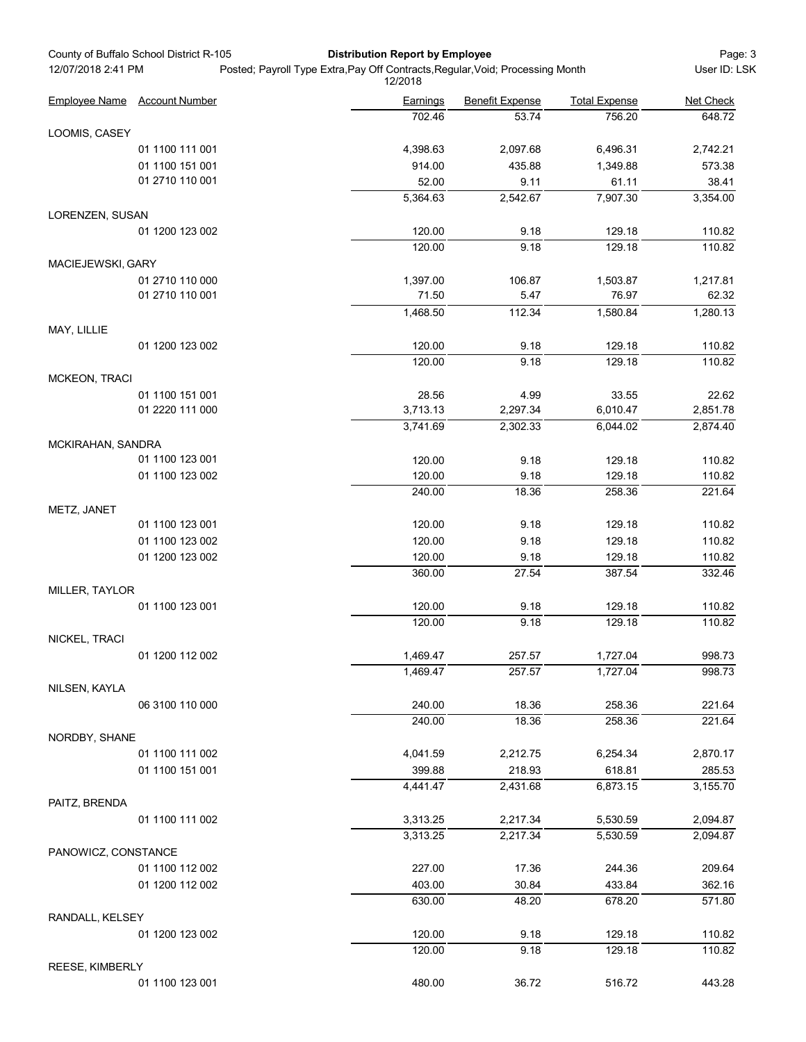|                      | County of Buffalo School District R-105 | <b>Distribution Report by Employee</b>                                                    |                        |                      | Page: 3            |
|----------------------|-----------------------------------------|-------------------------------------------------------------------------------------------|------------------------|----------------------|--------------------|
| 12/07/2018 2:41 PM   |                                         | Posted; Payroll Type Extra, Pay Off Contracts, Regular, Void; Processing Month<br>12/2018 |                        |                      | User ID: LSK       |
| <b>Employee Name</b> | <b>Account Number</b>                   | <b>Earnings</b>                                                                           | <b>Benefit Expense</b> | <b>Total Expense</b> | Net Check          |
|                      |                                         | 702.46                                                                                    | 53.74                  | 756.20               | 648.72             |
| LOOMIS, CASEY        |                                         |                                                                                           |                        |                      |                    |
|                      | 01 1100 111 001                         | 4,398.63                                                                                  | 2,097.68               | 6,496.31             | 2,742.21           |
|                      | 01 1100 151 001                         | 914.00                                                                                    | 435.88                 | 1,349.88             | 573.38             |
|                      | 01 2710 110 001                         | 52.00<br>5,364.63                                                                         | 9.11<br>2,542.67       | 61.11<br>7,907.30    | 38.41<br>3,354.00  |
| LORENZEN, SUSAN      |                                         |                                                                                           |                        |                      |                    |
|                      | 01 1200 123 002                         | 120.00                                                                                    | 9.18                   | 129.18               | 110.82             |
|                      |                                         | 120.00                                                                                    | 9.18                   | 129.18               | 110.82             |
| MACIEJEWSKI, GARY    |                                         |                                                                                           |                        |                      |                    |
|                      | 01 2710 110 000                         | 1,397.00                                                                                  | 106.87                 | 1,503.87             | 1,217.81           |
|                      | 01 2710 110 001                         | 71.50                                                                                     | 5.47                   | 76.97                | 62.32              |
|                      |                                         | 1,468.50                                                                                  | 112.34                 | 1,580.84             | 1,280.13           |
| MAY, LILLIE          |                                         |                                                                                           |                        |                      |                    |
|                      | 01 1200 123 002                         | 120.00                                                                                    | 9.18                   | 129.18               | 110.82             |
|                      |                                         | 120.00                                                                                    | 9.18                   | 129.18               | 110.82             |
| MCKEON, TRACI        |                                         |                                                                                           |                        |                      |                    |
|                      | 01 1100 151 001                         | 28.56                                                                                     | 4.99                   | 33.55                | 22.62              |
|                      | 01 2220 111 000                         | 3,713.13                                                                                  | 2,297.34               | 6,010.47             | 2,851.78           |
|                      |                                         | 3,741.69                                                                                  | 2,302.33               | 6,044.02             | 2,874.40           |
| MCKIRAHAN, SANDRA    |                                         |                                                                                           |                        |                      |                    |
|                      | 01 1100 123 001                         | 120.00                                                                                    | 9.18                   | 129.18<br>129.18     | 110.82             |
|                      | 01 1100 123 002                         | 120.00<br>240.00                                                                          | 9.18<br>18.36          | 258.36               | 110.82<br>221.64   |
|                      |                                         |                                                                                           |                        |                      |                    |
| METZ, JANET          | 01 1100 123 001                         | 120.00                                                                                    | 9.18                   | 129.18               | 110.82             |
|                      | 01 1100 123 002                         | 120.00                                                                                    | 9.18                   | 129.18               | 110.82             |
|                      | 01 1200 123 002                         | 120.00                                                                                    | 9.18                   | 129.18               | 110.82             |
|                      |                                         | 360.00                                                                                    | 27.54                  | 387.54               | 332.46             |
| MILLER, TAYLOR       |                                         |                                                                                           |                        |                      |                    |
|                      | 01 1100 123 001                         | 120.00                                                                                    | 9.18                   | 129.18               | 110.82             |
|                      |                                         | 120.00                                                                                    | 9.18                   | 129.18               | 110.82             |
| NICKEL, TRACI        |                                         |                                                                                           |                        |                      |                    |
|                      | 01 1200 112 002                         | 1,469.47                                                                                  | 257.57                 | 1,727.04             | 998.73             |
|                      |                                         | 1,469.47                                                                                  | 257.57                 | 1,727.04             | 998.73             |
| NILSEN, KAYLA        |                                         |                                                                                           |                        |                      |                    |
|                      | 06 3100 110 000                         | 240.00                                                                                    | 18.36                  | 258.36               | 221.64             |
|                      |                                         | 240.00                                                                                    | 18.36                  | 258.36               | 221.64             |
| NORDBY, SHANE        | 01 1100 111 002                         |                                                                                           |                        | 6,254.34             |                    |
|                      | 01 1100 151 001                         | 4,041.59<br>399.88                                                                        | 2,212.75<br>218.93     | 618.81               | 2,870.17<br>285.53 |
|                      |                                         | 4,441.47                                                                                  | 2,431.68               | 6,873.15             | 3,155.70           |
| PAITZ, BRENDA        |                                         |                                                                                           |                        |                      |                    |
|                      | 01 1100 111 002                         | 3,313.25                                                                                  | 2,217.34               | 5,530.59             | 2,094.87           |
|                      |                                         | 3,313.25                                                                                  | 2,217.34               | 5,530.59             | 2,094.87           |
| PANOWICZ, CONSTANCE  |                                         |                                                                                           |                        |                      |                    |
|                      | 01 1100 112 002                         | 227.00                                                                                    | 17.36                  | 244.36               | 209.64             |
|                      | 01 1200 112 002                         | 403.00                                                                                    | 30.84                  | 433.84               | 362.16             |
|                      |                                         | 630.00                                                                                    | 48.20                  | 678.20               | 571.80             |
| RANDALL, KELSEY      |                                         |                                                                                           |                        |                      |                    |
|                      | 01 1200 123 002                         | 120.00                                                                                    | 9.18                   | 129.18               | 110.82             |
|                      |                                         | 120.00                                                                                    | 9.18                   | 129.18               | 110.82             |
| REESE, KIMBERLY      |                                         |                                                                                           |                        |                      |                    |
|                      | 01 1100 123 001                         | 480.00                                                                                    | 36.72                  | 516.72               | 443.28             |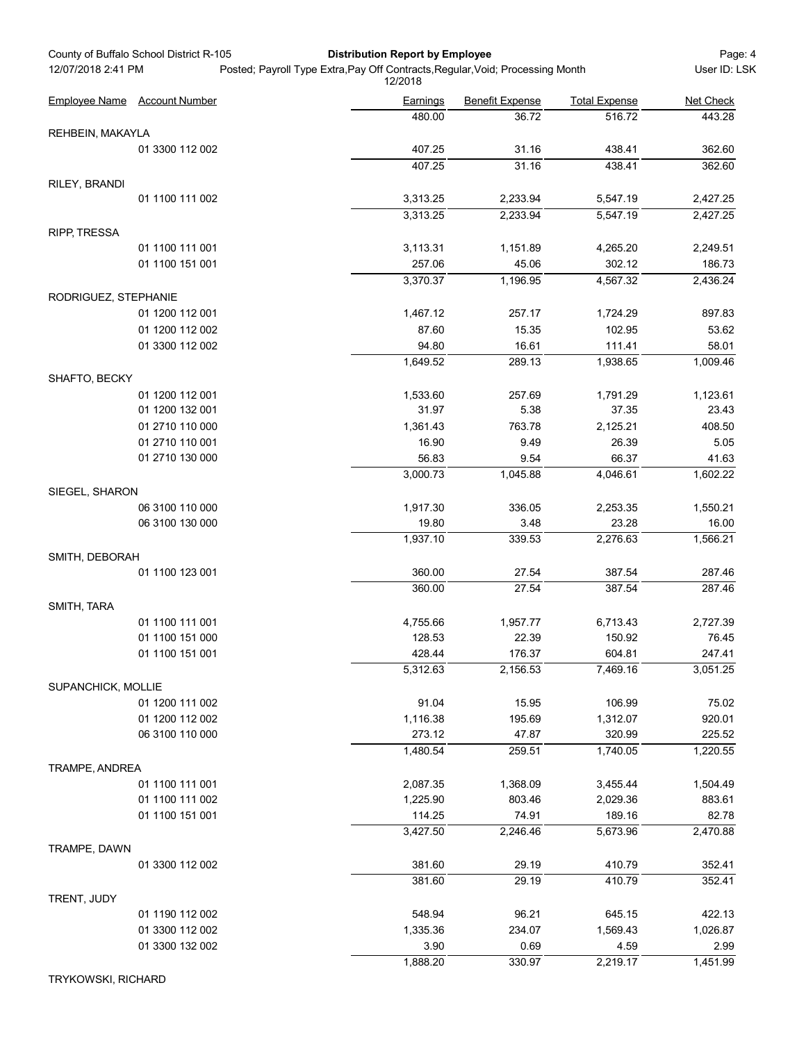|                      | County of Buffalo School District R-105 |                                                                                | <b>Distribution Report by Employee</b> |                        |                      | Page: 4            |
|----------------------|-----------------------------------------|--------------------------------------------------------------------------------|----------------------------------------|------------------------|----------------------|--------------------|
| 12/07/2018 2:41 PM   |                                         | Posted; Payroll Type Extra, Pay Off Contracts, Regular, Void; Processing Month | 12/2018                                |                        |                      | User ID: LSK       |
|                      | Employee Name Account Number            |                                                                                | Earnings                               | <b>Benefit Expense</b> | <b>Total Expense</b> | Net Check          |
|                      |                                         |                                                                                | 480.00                                 | 36.72                  | 516.72               | 443.28             |
| REHBEIN, MAKAYLA     |                                         |                                                                                |                                        |                        |                      |                    |
|                      | 01 3300 112 002                         |                                                                                | 407.25<br>407.25                       | 31.16<br>31.16         | 438.41<br>438.41     | 362.60<br>362.60   |
| RILEY, BRANDI        |                                         |                                                                                |                                        |                        |                      |                    |
|                      | 01 1100 111 002                         |                                                                                | 3,313.25                               | 2,233.94               | 5,547.19             | 2,427.25           |
|                      |                                         |                                                                                | 3,313.25                               | 2,233.94               | 5,547.19             | 2,427.25           |
| <b>RIPP, TRESSA</b>  |                                         |                                                                                |                                        |                        |                      |                    |
|                      | 01 1100 111 001                         |                                                                                | 3,113.31                               | 1,151.89               | 4,265.20             | 2,249.51           |
|                      | 01 1100 151 001                         |                                                                                | 257.06                                 | 45.06                  | 302.12               | 186.73             |
|                      |                                         |                                                                                | 3,370.37                               | 1,196.95               | 4,567.32             | 2,436.24           |
| RODRIGUEZ, STEPHANIE |                                         |                                                                                |                                        |                        |                      |                    |
|                      | 01 1200 112 001                         |                                                                                | 1,467.12                               | 257.17                 | 1,724.29             | 897.83             |
|                      | 01 1200 112 002                         |                                                                                | 87.60                                  | 15.35                  | 102.95               | 53.62              |
|                      | 01 3300 112 002                         |                                                                                | 94.80                                  | 16.61                  | 111.41               | 58.01              |
|                      |                                         |                                                                                | 1,649.52                               | 289.13                 | 1,938.65             | 1,009.46           |
| SHAFTO, BECKY        |                                         |                                                                                |                                        |                        |                      |                    |
|                      | 01 1200 112 001                         |                                                                                | 1,533.60                               | 257.69                 | 1,791.29             | 1,123.61           |
|                      | 01 1200 132 001                         |                                                                                | 31.97                                  | 5.38                   | 37.35                | 23.43              |
|                      | 01 2710 110 000<br>01 2710 110 001      |                                                                                | 1,361.43<br>16.90                      | 763.78                 | 2,125.21             | 408.50             |
|                      | 01 2710 130 000                         |                                                                                | 56.83                                  | 9.49<br>9.54           | 26.39<br>66.37       | 5.05<br>41.63      |
|                      |                                         |                                                                                | 3,000.73                               | 1,045.88               | 4,046.61             | 1,602.22           |
| SIEGEL, SHARON       |                                         |                                                                                |                                        |                        |                      |                    |
|                      | 06 3100 110 000                         |                                                                                | 1,917.30                               | 336.05                 | 2,253.35             | 1,550.21           |
|                      | 06 3100 130 000                         |                                                                                | 19.80                                  | 3.48                   | 23.28                | 16.00              |
|                      |                                         |                                                                                | 1,937.10                               | 339.53                 | 2,276.63             | 1,566.21           |
| SMITH, DEBORAH       |                                         |                                                                                |                                        |                        |                      |                    |
|                      | 01 1100 123 001                         |                                                                                | 360.00                                 | 27.54                  | 387.54               | 287.46             |
|                      |                                         |                                                                                | 360.00                                 | 27.54                  | 387.54               | 287.46             |
| SMITH, TARA          |                                         |                                                                                |                                        |                        |                      |                    |
|                      | 01 1100 111 001                         |                                                                                | 4,755.66                               | 1,957.77               | 6,713.43             | 2,727.39           |
|                      | 01 1100 151 000                         |                                                                                | 128.53                                 | 22.39                  | 150.92               | 76.45              |
|                      | 01 1100 151 001                         |                                                                                | 428.44                                 | 176.37                 | 604.81               | 247.41             |
|                      |                                         |                                                                                | 5,312.63                               | 2,156.53               | 7,469.16             | 3,051.25           |
| SUPANCHICK, MOLLIE   |                                         |                                                                                |                                        |                        |                      |                    |
|                      | 01 1200 111 002                         |                                                                                | 91.04                                  | 15.95                  | 106.99               | 75.02              |
|                      | 01 1200 112 002                         |                                                                                | 1,116.38                               | 195.69                 | 1,312.07             | 920.01             |
|                      | 06 3100 110 000                         |                                                                                | 273.12                                 | 47.87                  | 320.99               | 225.52             |
|                      |                                         |                                                                                | 1,480.54                               | 259.51                 | 1,740.05             | 1,220.55           |
| TRAMPE, ANDREA       |                                         |                                                                                |                                        |                        |                      |                    |
|                      | 01 1100 111 001<br>01 1100 111 002      |                                                                                | 2,087.35<br>1,225.90                   | 1,368.09<br>803.46     | 3,455.44<br>2,029.36 | 1,504.49<br>883.61 |
|                      | 01 1100 151 001                         |                                                                                | 114.25                                 | 74.91                  | 189.16               | 82.78              |
|                      |                                         |                                                                                | 3,427.50                               | 2,246.46               | 5,673.96             | 2,470.88           |
| TRAMPE, DAWN         |                                         |                                                                                |                                        |                        |                      |                    |
|                      | 01 3300 112 002                         |                                                                                | 381.60                                 | 29.19                  | 410.79               | 352.41             |
|                      |                                         |                                                                                | 381.60                                 | 29.19                  | 410.79               | 352.41             |
| TRENT, JUDY          |                                         |                                                                                |                                        |                        |                      |                    |
|                      | 01 1190 112 002                         |                                                                                | 548.94                                 | 96.21                  | 645.15               | 422.13             |
|                      | 01 3300 112 002                         |                                                                                | 1,335.36                               | 234.07                 | 1,569.43             | 1,026.87           |
|                      | 01 3300 132 002                         |                                                                                | 3.90                                   | 0.69                   | 4.59                 | 2.99               |
|                      |                                         |                                                                                | 1,888.20                               | 330.97                 | 2,219.17             | 1,451.99           |

TRYKOWSKI, RICHARD